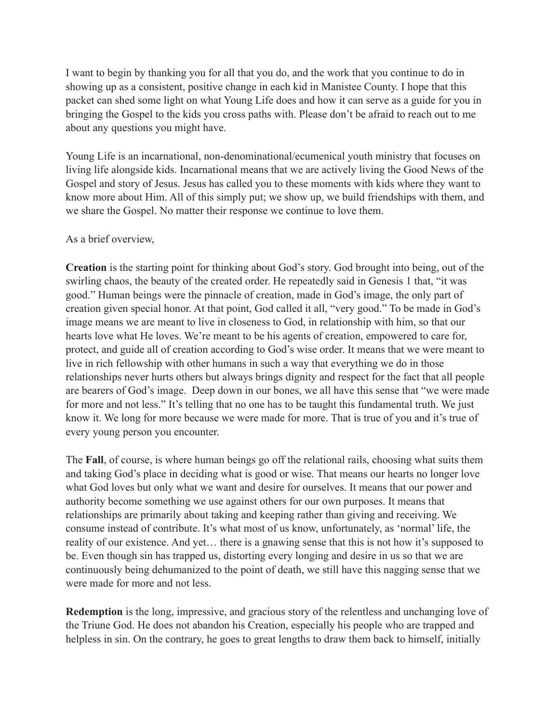I want to begin by thanking you for all that you do, and the work that you continue to do in showing up as a consistent, positive change in each kid in Manistee County. I hope that this packet can shed some light on what Young Life does and how it can serve as a guide for you in bringing the Gospel to the kids you cross paths with. Please don't be afraid to reach out to me about any questions you might have.

Young Life is an incarnational, non-denominational/ecumenical youth ministry that focuses on living life alongside kids. Incarnational means that we are actively living the Good News of the Gospel and story of Jesus. Jesus has called you to these moments with kids where they want to know more about Him. All of this simply put; we show up, we build friendships with them, and we share the Gospel. No matter their response we continue to love them.

## As a brief overview,

**Creation** is the starting point for thinking about God's story. God brought into being, out of the swirling chaos, the beauty of the created order. He repeatedly said in Genesis 1 that, "it was good." Human beings were the pinnacle of creation, made in God's image, the only part of creation given special honor. At that point, God called it all, "very good." To be made in God's image means we are meant to live in closeness to God, in relationship with him, so that our hearts love what He loves. We're meant to be his agents of creation, empowered to care for, protect, and guide all of creation according to God's wise order. It means that we were meant to live in rich fellowship with other humans in such a way that everything we do in those relationships never hurts others but always brings dignity and respect for the fact that all people are bearers of God's image. Deep down in our bones, we all have this sense that "we were made for more and not less." It's telling that no one has to be taught this fundamental truth. We just know it. We long for more because we were made for more. That is true of you and it's true of every young person you encounter.

The **Fall**, of course, is where human beings go off the relational rails, choosing what suits them and taking God's place in deciding what is good or wise. That means our hearts no longer love what God loves but only what we want and desire for ourselves. It means that our power and authority become something we use against others for our own purposes. It means that relationships are primarily about taking and keeping rather than giving and receiving. We consume instead of contribute. It's what most of us know, unfortunately, as 'normal' life, the reality of our existence. And yet… there is a gnawing sense that this is not how it's supposed to be. Even though sin has trapped us, distorting every longing and desire in us so that we are continuously being dehumanized to the point of death, we still have this nagging sense that we were made for more and not less.

**Redemption** is the long, impressive, and gracious story of the relentless and unchanging love of the Triune God. He does not abandon his Creation, especially his people who are trapped and helpless in sin. On the contrary, he goes to great lengths to draw them back to himself, initially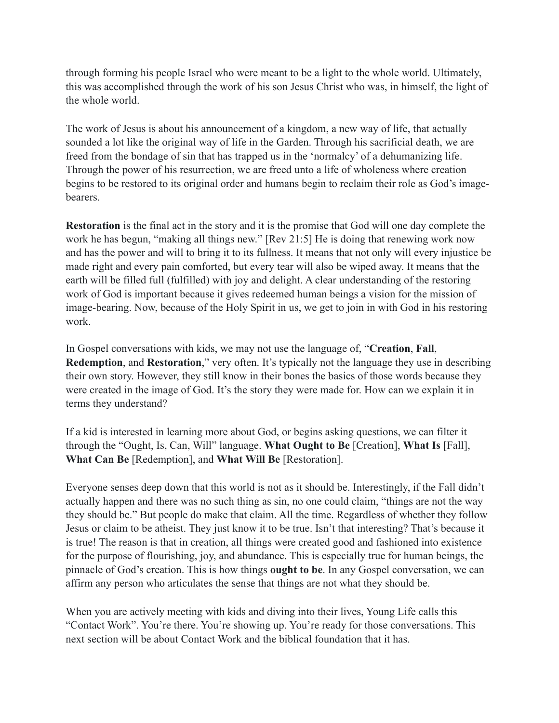through forming his people Israel who were meant to be a light to the whole world. Ultimately, this was accomplished through the work of his son Jesus Christ who was, in himself, the light of the whole world.

The work of Jesus is about his announcement of a kingdom, a new way of life, that actually sounded a lot like the original way of life in the Garden. Through his sacrificial death, we are freed from the bondage of sin that has trapped us in the 'normalcy' of a dehumanizing life. Through the power of his resurrection, we are freed unto a life of wholeness where creation begins to be restored to its original order and humans begin to reclaim their role as God's imagebearers.

**Restoration** is the final act in the story and it is the promise that God will one day complete the work he has begun, "making all things new." [Rev 21:5] He is doing that renewing work now and has the power and will to bring it to its fullness. It means that not only will every injustice be made right and every pain comforted, but every tear will also be wiped away. It means that the earth will be filled full (fulfilled) with joy and delight. A clear understanding of the restoring work of God is important because it gives redeemed human beings a vision for the mission of image-bearing. Now, because of the Holy Spirit in us, we get to join in with God in his restoring work.

In Gospel conversations with kids, we may not use the language of, "**Creation**, **Fall**, **Redemption**, and **Restoration**," very often. It's typically not the language they use in describing their own story. However, they still know in their bones the basics of those words because they were created in the image of God. It's the story they were made for. How can we explain it in terms they understand?

If a kid is interested in learning more about God, or begins asking questions, we can filter it through the "Ought, Is, Can, Will" language. **What Ought to Be** [Creation], **What Is** [Fall], **What Can Be** [Redemption], and **What Will Be** [Restoration].

Everyone senses deep down that this world is not as it should be. Interestingly, if the Fall didn't actually happen and there was no such thing as sin, no one could claim, "things are not the way they should be." But people do make that claim. All the time. Regardless of whether they follow Jesus or claim to be atheist. They just know it to be true. Isn't that interesting? That's because it is true! The reason is that in creation, all things were created good and fashioned into existence for the purpose of flourishing, joy, and abundance. This is especially true for human beings, the pinnacle of God's creation. This is how things **ought to be**. In any Gospel conversation, we can affirm any person who articulates the sense that things are not what they should be.

When you are actively meeting with kids and diving into their lives, Young Life calls this "Contact Work". You're there. You're showing up. You're ready for those conversations. This next section will be about Contact Work and the biblical foundation that it has.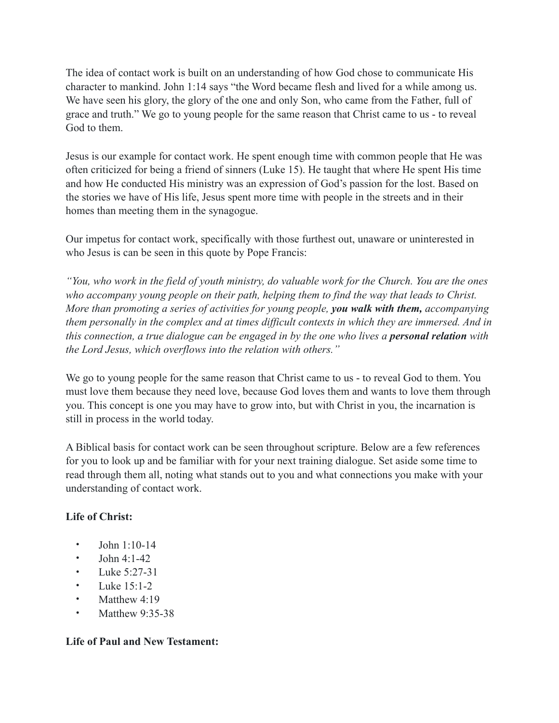The idea of contact work is built on an understanding of how God chose to communicate His character to mankind. John 1:14 says "the Word became flesh and lived for a while among us. We have seen his glory, the glory of the one and only Son, who came from the Father, full of grace and truth." We go to young people for the same reason that Christ came to us - to reveal God to them.

Jesus is our example for contact work. He spent enough time with common people that He was often criticized for being a friend of sinners (Luke 15). He taught that where He spent His time and how He conducted His ministry was an expression of God's passion for the lost. Based on the stories we have of His life, Jesus spent more time with people in the streets and in their homes than meeting them in the synagogue.

Our impetus for contact work, specifically with those furthest out, unaware or uninterested in who Jesus is can be seen in this quote by Pope Francis:

*"You, who work in the field of youth ministry, do valuable work for the Church. You are the ones who accompany young people on their path, helping them to find the way that leads to Christ. More than promoting a series of activities for young people, you walk with them, accompanying them personally in the complex and at times difficult contexts in which they are immersed. And in this connection, a true dialogue can be engaged in by the one who lives a <i>personal relation* with *the Lord Jesus, which overflows into the relation with others."*

We go to young people for the same reason that Christ came to us - to reveal God to them. You must love them because they need love, because God loves them and wants to love them through you. This concept is one you may have to grow into, but with Christ in you, the incarnation is still in process in the world today.

A Biblical basis for contact work can be seen throughout scripture. Below are a few references for you to look up and be familiar with for your next training dialogue. Set aside some time to read through them all, noting what stands out to you and what connections you make with your understanding of contact work.

## **Life of Christ:**

- John 1:10-14
- John 4:1-42
- Luke 5:27-31
- Luke  $15:1-2$
- Matthew 4:19
- Matthew 9:35-38

## **Life of Paul and New Testament:**